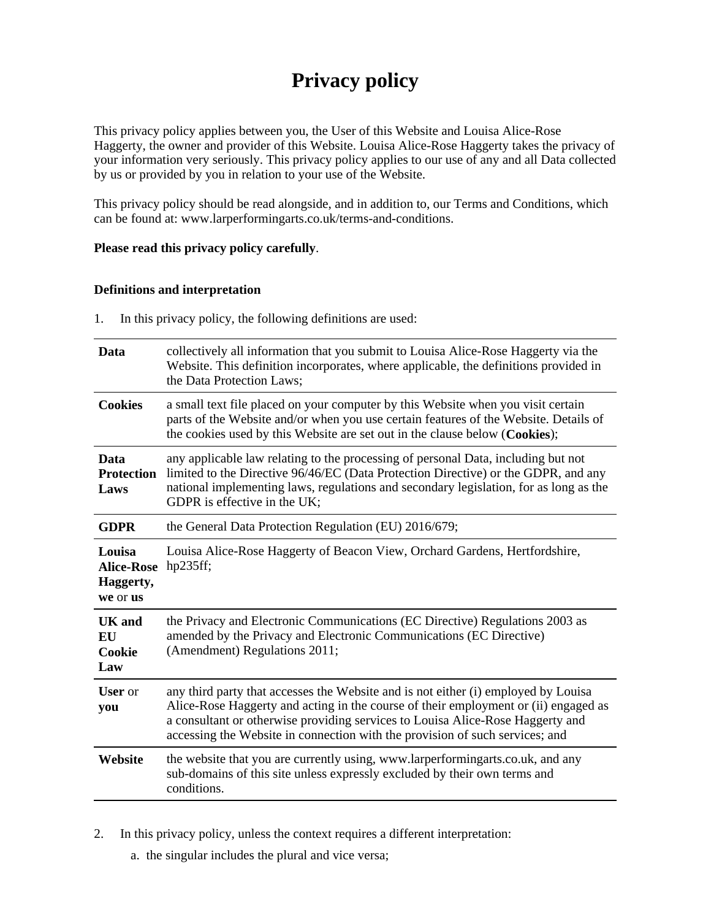# **Privacy policy**

This privacy policy applies between you, the User of this Website and Louisa Alice-Rose Haggerty, the owner and provider of this Website. Louisa Alice-Rose Haggerty takes the privacy of your information very seriously. This privacy policy applies to our use of any and all Data collected by us or provided by you in relation to your use of the Website.

This privacy policy should be read alongside, and in addition to, our Terms and Conditions, which can be found at: www.larperformingarts.co.uk/terms-and-conditions.

#### **Please read this privacy policy carefully**.

#### **Definitions and interpretation**

1. In this privacy policy, the following definitions are used:

| Data                                                 | collectively all information that you submit to Louisa Alice-Rose Haggerty via the<br>Website. This definition incorporates, where applicable, the definitions provided in<br>the Data Protection Laws;                                                                                                                                     |  |
|------------------------------------------------------|---------------------------------------------------------------------------------------------------------------------------------------------------------------------------------------------------------------------------------------------------------------------------------------------------------------------------------------------|--|
| <b>Cookies</b>                                       | a small text file placed on your computer by this Website when you visit certain<br>parts of the Website and/or when you use certain features of the Website. Details of<br>the cookies used by this Website are set out in the clause below (Cookies);                                                                                     |  |
| Data<br><b>Protection</b><br>Laws                    | any applicable law relating to the processing of personal Data, including but not<br>limited to the Directive 96/46/EC (Data Protection Directive) or the GDPR, and any<br>national implementing laws, regulations and secondary legislation, for as long as the<br>GDPR is effective in the UK;                                            |  |
| <b>GDPR</b>                                          | the General Data Protection Regulation (EU) 2016/679;                                                                                                                                                                                                                                                                                       |  |
| Louisa<br><b>Alice-Rose</b><br>Haggerty,<br>we or us | Louisa Alice-Rose Haggerty of Beacon View, Orchard Gardens, Hertfordshire,<br>hp235ff;                                                                                                                                                                                                                                                      |  |
| UK and<br><b>EU</b><br>Cookie<br>Law                 | the Privacy and Electronic Communications (EC Directive) Regulations 2003 as<br>amended by the Privacy and Electronic Communications (EC Directive)<br>(Amendment) Regulations 2011;                                                                                                                                                        |  |
| <b>User</b> or<br>you                                | any third party that accesses the Website and is not either (i) employed by Louisa<br>Alice-Rose Haggerty and acting in the course of their employment or (ii) engaged as<br>a consultant or otherwise providing services to Louisa Alice-Rose Haggerty and<br>accessing the Website in connection with the provision of such services; and |  |
| Website                                              | the website that you are currently using, www.larperformingarts.co.uk, and any<br>sub-domains of this site unless expressly excluded by their own terms and<br>conditions.                                                                                                                                                                  |  |

2. In this privacy policy, unless the context requires a different interpretation:

a. the singular includes the plural and vice versa;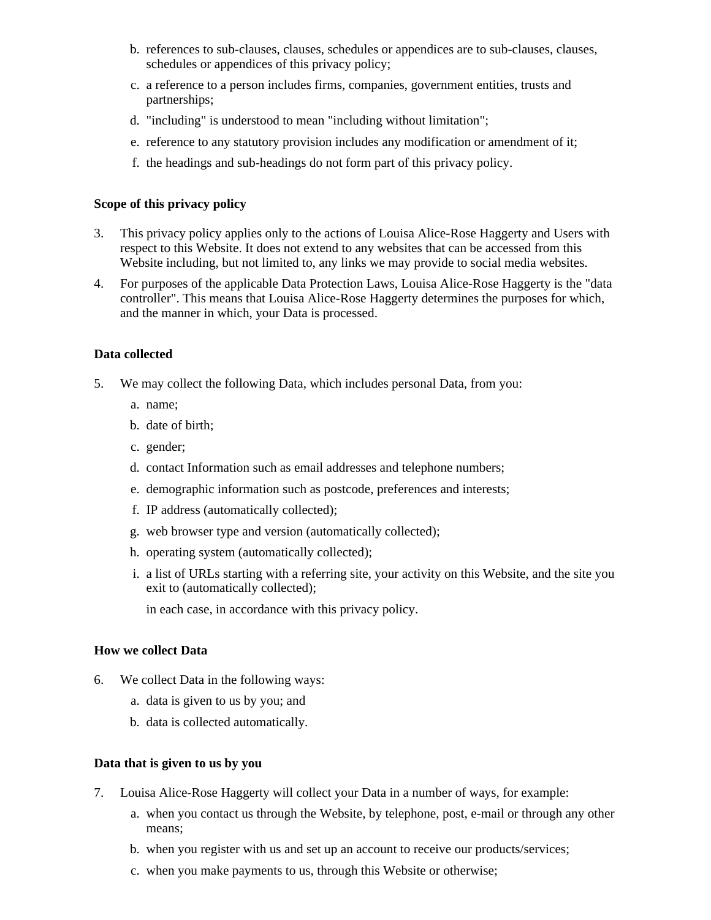- b. references to sub-clauses, clauses, schedules or appendices are to sub-clauses, clauses, schedules or appendices of this privacy policy;
- c. a reference to a person includes firms, companies, government entities, trusts and partnerships;
- d. "including" is understood to mean "including without limitation";
- e. reference to any statutory provision includes any modification or amendment of it;
- f. the headings and sub-headings do not form part of this privacy policy.

### **Scope of this privacy policy**

- 3. This privacy policy applies only to the actions of Louisa Alice-Rose Haggerty and Users with respect to this Website. It does not extend to any websites that can be accessed from this Website including, but not limited to, any links we may provide to social media websites.
- 4. For purposes of the applicable Data Protection Laws, Louisa Alice-Rose Haggerty is the "data controller". This means that Louisa Alice-Rose Haggerty determines the purposes for which, and the manner in which, your Data is processed.

## **Data collected**

- 5. We may collect the following Data, which includes personal Data, from you:
	- a. name;
	- b. date of birth;
	- c. gender;
	- d. contact Information such as email addresses and telephone numbers;
	- e. demographic information such as postcode, preferences and interests;
	- f. IP address (automatically collected);
	- g. web browser type and version (automatically collected);
	- h. operating system (automatically collected);
	- i. a list of URLs starting with a referring site, your activity on this Website, and the site you exit to (automatically collected);

in each case, in accordance with this privacy policy.

# **How we collect Data**

- 6. We collect Data in the following ways:
	- a. data is given to us by you; and
	- b. data is collected automatically.

#### **Data that is given to us by you**

- 7. Louisa Alice-Rose Haggerty will collect your Data in a number of ways, for example:
	- a. when you contact us through the Website, by telephone, post, e-mail or through any other means;
	- b. when you register with us and set up an account to receive our products/services;
	- c. when you make payments to us, through this Website or otherwise;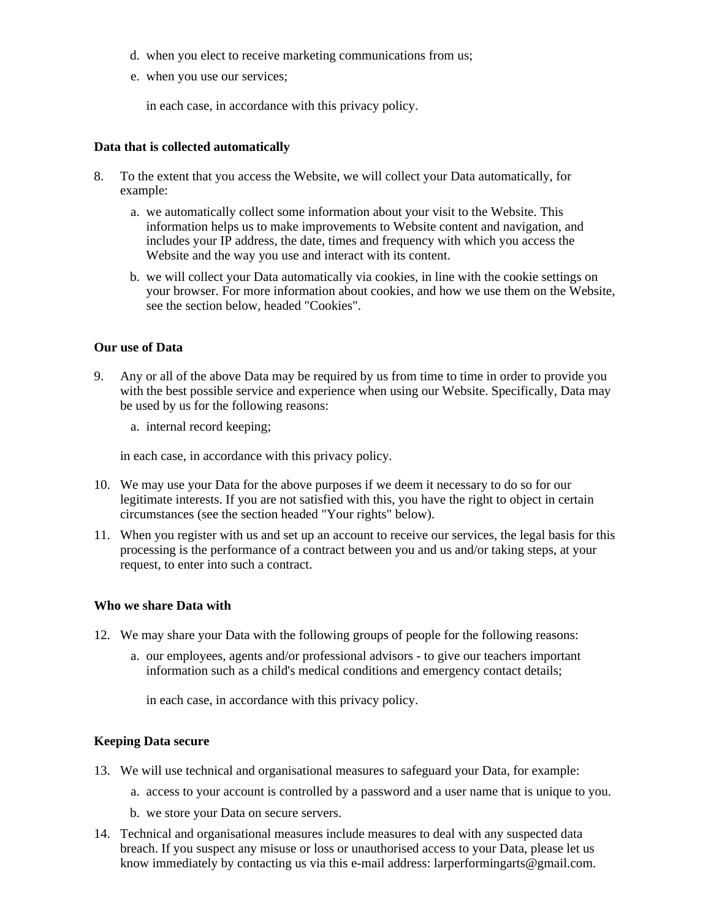- d. when you elect to receive marketing communications from us;
- e. when you use our services;

in each case, in accordance with this privacy policy.

#### **Data that is collected automatically**

- 8. To the extent that you access the Website, we will collect your Data automatically, for example:
	- a. we automatically collect some information about your visit to the Website. This information helps us to make improvements to Website content and navigation, and includes your IP address, the date, times and frequency with which you access the Website and the way you use and interact with its content.
	- b. we will collect your Data automatically via cookies, in line with the cookie settings on your browser. For more information about cookies, and how we use them on the Website, see the section below, headed "Cookies".

#### **Our use of Data**

- 9. Any or all of the above Data may be required by us from time to time in order to provide you with the best possible service and experience when using our Website. Specifically, Data may be used by us for the following reasons:
	- a. internal record keeping;

in each case, in accordance with this privacy policy.

- 10. We may use your Data for the above purposes if we deem it necessary to do so for our legitimate interests. If you are not satisfied with this, you have the right to object in certain circumstances (see the section headed "Your rights" below).
- 11. When you register with us and set up an account to receive our services, the legal basis for this processing is the performance of a contract between you and us and/or taking steps, at your request, to enter into such a contract.

#### **Who we share Data with**

- 12. We may share your Data with the following groups of people for the following reasons:
	- a. our employees, agents and/or professional advisors to give our teachers important information such as a child's medical conditions and emergency contact details;

in each case, in accordance with this privacy policy.

#### **Keeping Data secure**

- 13. We will use technical and organisational measures to safeguard your Data, for example:
	- a. access to your account is controlled by a password and a user name that is unique to you.
	- b. we store your Data on secure servers.
- 14. Technical and organisational measures include measures to deal with any suspected data breach. If you suspect any misuse or loss or unauthorised access to your Data, please let us know immediately by contacting us via this e-mail address: larperformingarts@gmail.com.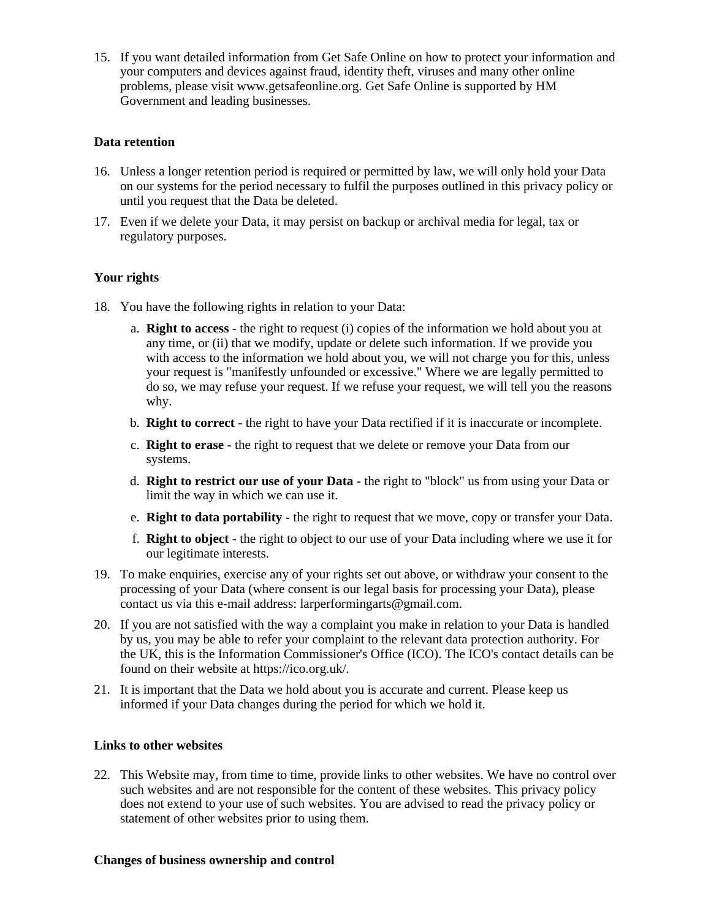15. If you want detailed information from Get Safe Online on how to protect your information and your computers and devices against fraud, identity theft, viruses and many other online problems, please visit www.getsafeonline.org. Get Safe Online is supported by HM Government and leading businesses.

## **Data retention**

- 16. Unless a longer retention period is required or permitted by law, we will only hold your Data on our systems for the period necessary to fulfil the purposes outlined in this privacy policy or until you request that the Data be deleted.
- 17. Even if we delete your Data, it may persist on backup or archival media for legal, tax or regulatory purposes.

# **Your rights**

- 18. You have the following rights in relation to your Data:
	- a. **Right to access** the right to request (i) copies of the information we hold about you at any time, or (ii) that we modify, update or delete such information. If we provide you with access to the information we hold about you, we will not charge you for this, unless your request is "manifestly unfounded or excessive." Where we are legally permitted to do so, we may refuse your request. If we refuse your request, we will tell you the reasons why.
	- b. **Right to correct** the right to have your Data rectified if it is inaccurate or incomplete.
	- c. **Right to erase** the right to request that we delete or remove your Data from our systems.
	- d. **Right to restrict our use of your Data** the right to "block" us from using your Data or limit the way in which we can use it.
	- e. **Right to data portability** the right to request that we move, copy or transfer your Data.
	- f. **Right to object** the right to object to our use of your Data including where we use it for our legitimate interests.
- 19. To make enquiries, exercise any of your rights set out above, or withdraw your consent to the processing of your Data (where consent is our legal basis for processing your Data), please contact us via this e-mail address: larperformingarts@gmail.com.
- 20. If you are not satisfied with the way a complaint you make in relation to your Data is handled by us, you may be able to refer your complaint to the relevant data protection authority. For the UK, this is the Information Commissioner's Office (ICO). The ICO's contact details can be found on their website at https://ico.org.uk/.
- 21. It is important that the Data we hold about you is accurate and current. Please keep us informed if your Data changes during the period for which we hold it.

# **Links to other websites**

22. This Website may, from time to time, provide links to other websites. We have no control over such websites and are not responsible for the content of these websites. This privacy policy does not extend to your use of such websites. You are advised to read the privacy policy or statement of other websites prior to using them.

#### **Changes of business ownership and control**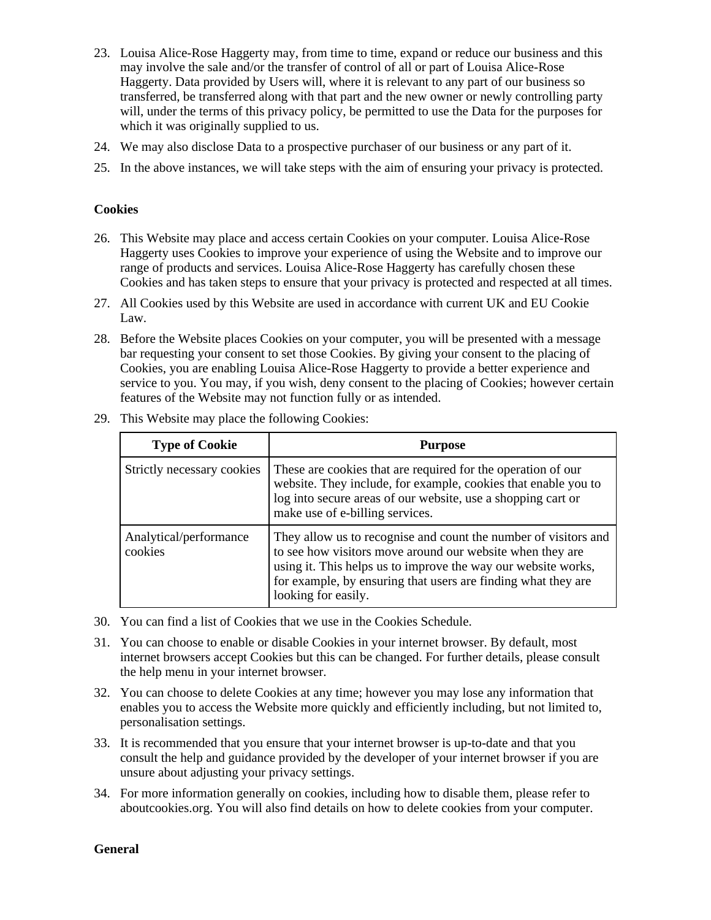- 23. Louisa Alice-Rose Haggerty may, from time to time, expand or reduce our business and this may involve the sale and/or the transfer of control of all or part of Louisa Alice-Rose Haggerty. Data provided by Users will, where it is relevant to any part of our business so transferred, be transferred along with that part and the new owner or newly controlling party will, under the terms of this privacy policy, be permitted to use the Data for the purposes for which it was originally supplied to us.
- 24. We may also disclose Data to a prospective purchaser of our business or any part of it.
- 25. In the above instances, we will take steps with the aim of ensuring your privacy is protected.

#### **Cookies**

- 26. This Website may place and access certain Cookies on your computer. Louisa Alice-Rose Haggerty uses Cookies to improve your experience of using the Website and to improve our range of products and services. Louisa Alice-Rose Haggerty has carefully chosen these Cookies and has taken steps to ensure that your privacy is protected and respected at all times.
- 27. All Cookies used by this Website are used in accordance with current UK and EU Cookie Law.
- 28. Before the Website places Cookies on your computer, you will be presented with a message bar requesting your consent to set those Cookies. By giving your consent to the placing of Cookies, you are enabling Louisa Alice-Rose Haggerty to provide a better experience and service to you. You may, if you wish, deny consent to the placing of Cookies; however certain features of the Website may not function fully or as intended.

| <b>Type of Cookie</b>             | <b>Purpose</b>                                                                                                                                                                                                                                                                        |
|-----------------------------------|---------------------------------------------------------------------------------------------------------------------------------------------------------------------------------------------------------------------------------------------------------------------------------------|
| Strictly necessary cookies        | These are cookies that are required for the operation of our<br>website. They include, for example, cookies that enable you to<br>log into secure areas of our website, use a shopping cart or<br>make use of e-billing services.                                                     |
| Analytical/performance<br>cookies | They allow us to recognise and count the number of visitors and<br>to see how visitors move around our website when they are<br>using it. This helps us to improve the way our website works,<br>for example, by ensuring that users are finding what they are<br>looking for easily. |

29. This Website may place the following Cookies:

- 30. You can find a list of Cookies that we use in the Cookies Schedule.
- 31. You can choose to enable or disable Cookies in your internet browser. By default, most internet browsers accept Cookies but this can be changed. For further details, please consult the help menu in your internet browser.
- 32. You can choose to delete Cookies at any time; however you may lose any information that enables you to access the Website more quickly and efficiently including, but not limited to, personalisation settings.
- 33. It is recommended that you ensure that your internet browser is up-to-date and that you consult the help and guidance provided by the developer of your internet browser if you are unsure about adjusting your privacy settings.
- 34. For more information generally on cookies, including how to disable them, please refer to aboutcookies.org. You will also find details on how to delete cookies from your computer.

**General**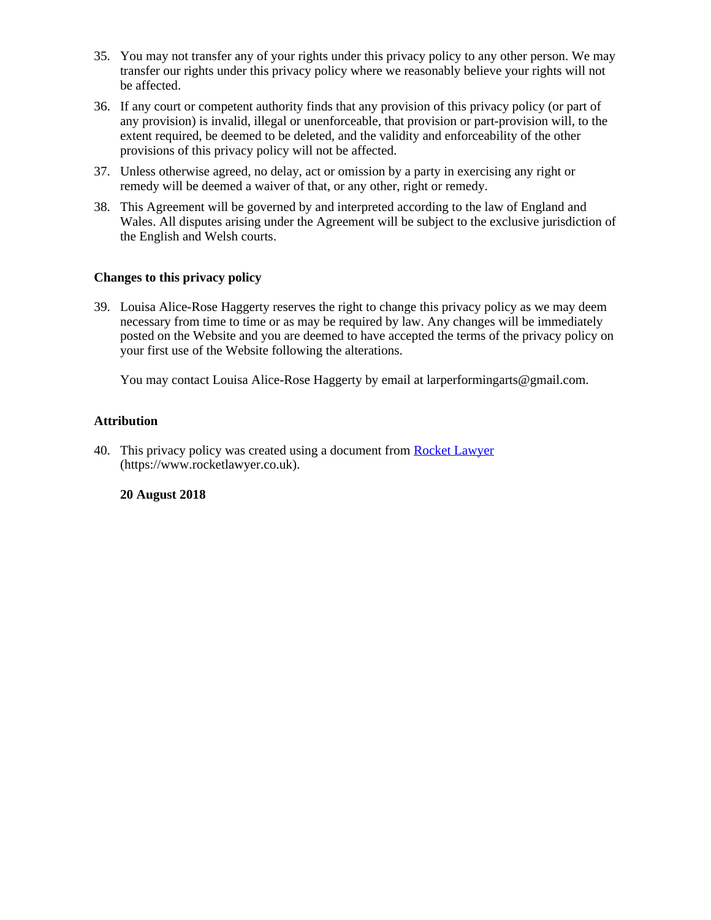- 35. You may not transfer any of your rights under this privacy policy to any other person. We may transfer our rights under this privacy policy where we reasonably believe your rights will not be affected.
- 36. If any court or competent authority finds that any provision of this privacy policy (or part of any provision) is invalid, illegal or unenforceable, that provision or part-provision will, to the extent required, be deemed to be deleted, and the validity and enforceability of the other provisions of this privacy policy will not be affected.
- 37. Unless otherwise agreed, no delay, act or omission by a party in exercising any right or remedy will be deemed a waiver of that, or any other, right or remedy.
- 38. This Agreement will be governed by and interpreted according to the law of England and Wales. All disputes arising under the Agreement will be subject to the exclusive jurisdiction of the English and Welsh courts.

## **Changes to this privacy policy**

39. Louisa Alice-Rose Haggerty reserves the right to change this privacy policy as we may deem necessary from time to time or as may be required by law. Any changes will be immediately posted on the Website and you are deemed to have accepted the terms of the privacy policy on your first use of the Website following the alterations.

You may contact Louisa Alice-Rose Haggerty by email at larperformingarts@gmail.com.

## **Attribution**

40. This privacy policy was created using a document from [Rocket Lawyer](https://www.rocketlawyer.co.uk/) (https://www.rocketlawyer.co.uk).

#### **20 August 2018**